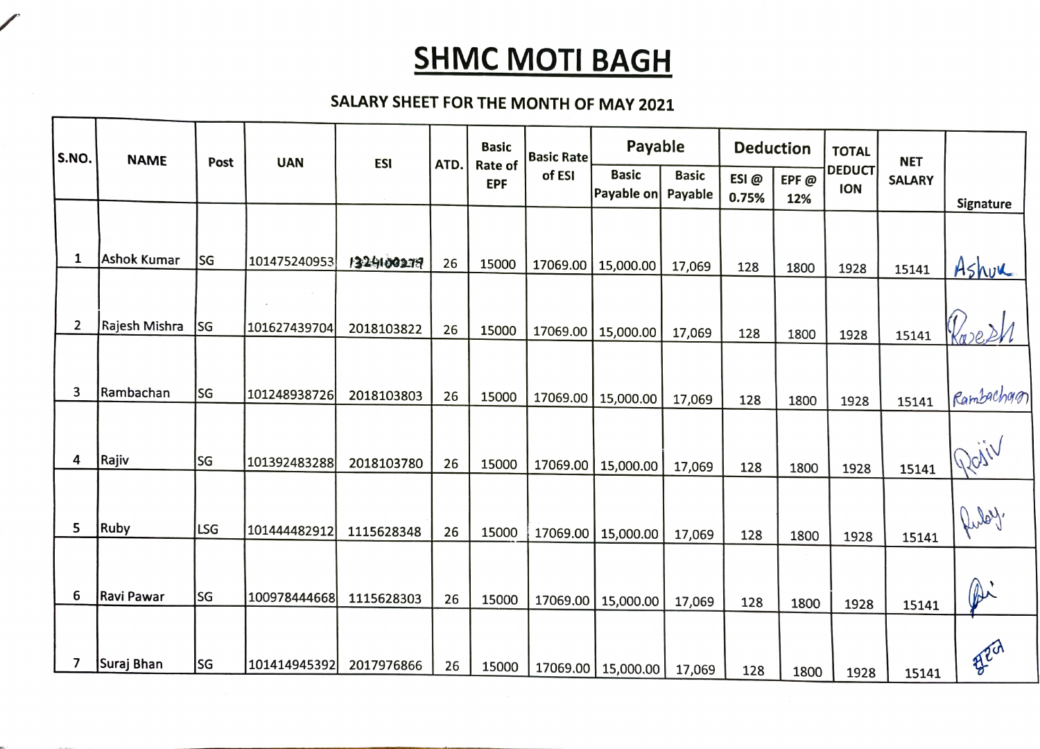## **SHMC MOTI BAGH**

## SALARY SHEET FOR THE MONTH OF MAY 2021

| S.NO.          | <b>NAME</b>   | Post       | <b>UAN</b>   | <b>ESI</b> |      | <b>Basic</b>          | <b>Basic Rate</b> | Payable                    |                         | <b>Deduction</b> |             | <b>TOTAL</b>                | <b>NET</b><br><b>SALARY</b> |             |
|----------------|---------------|------------|--------------|------------|------|-----------------------|-------------------|----------------------------|-------------------------|------------------|-------------|-----------------------------|-----------------------------|-------------|
|                |               |            |              |            | ATD. | Rate of<br><b>EPF</b> | of ESI            | <b>Basic</b><br>Payable on | <b>Basic</b><br>Payable | ESI@<br>0.75%    | EPF@<br>12% | <b>DEDUCT</b><br><b>ION</b> |                             | Signature   |
|                |               |            |              |            |      |                       |                   |                            |                         |                  |             |                             |                             |             |
| 1              | Ashok Kumar   | SG         | 101475240953 | 1324100279 | 26   | 15000                 | 17069.00          | 15,000.00                  | 17,069                  | 128              | 1800        | 1928                        | 15141                       | Ashur       |
|                |               |            |              |            |      |                       |                   |                            |                         |                  |             |                             |                             |             |
| $\overline{2}$ | Rajesh Mishra | SG         | 101627439704 | 2018103822 | 26   | 15000                 | 17069.00          | 15,000.00                  | 17,069                  | 128              | 1800        | 1928                        | 15141                       | Kareet      |
|                |               |            |              |            |      |                       |                   |                            |                         |                  |             |                             |                             |             |
| 3              | Rambachan     | SG         | 101248938726 | 2018103803 | 26   | 15000                 | 17069.00          | 15,000.00                  | 17,069                  | 128              | 1800        | 1928                        | 15141                       | Rambachan   |
|                |               |            |              |            |      |                       |                   |                            |                         |                  |             |                             |                             |             |
| 4              | Rajiv         | SG         | 101392483288 | 2018103780 | 26   | 15000                 | 17069.00          | 15,000.00                  | 17,069                  | 128              | 1800        | 1928                        | 15141                       |             |
|                |               |            |              |            |      |                       |                   |                            |                         |                  |             |                             |                             |             |
| 5              | <b>Ruby</b>   | <b>LSG</b> | 101444482912 | 1115628348 | 26   | 15000                 |                   | 17069.00   15,000.00       | 17,069                  | 128              | 1800        | 1928                        | 15141                       | auley       |
|                |               |            |              |            |      |                       |                   |                            |                         |                  |             |                             |                             |             |
| 6              | Ravi Pawar    | lsg        | 100978444668 | 1115628303 | 26   | 15000                 |                   | 17069.00   15,000.00       | 17,069                  | 128              | 1800        | 1928                        | 15141                       | Ai          |
|                |               |            |              |            |      |                       |                   |                            |                         |                  |             |                             |                             |             |
| 7              | Suraj Bhan    | <b>SG</b>  | 101414945392 | 2017976866 | 26   | 15000                 |                   | 17069.00   15,000.00       | 17,069                  | 128              | 1800        | 1928                        | 15141                       | <b>F201</b> |